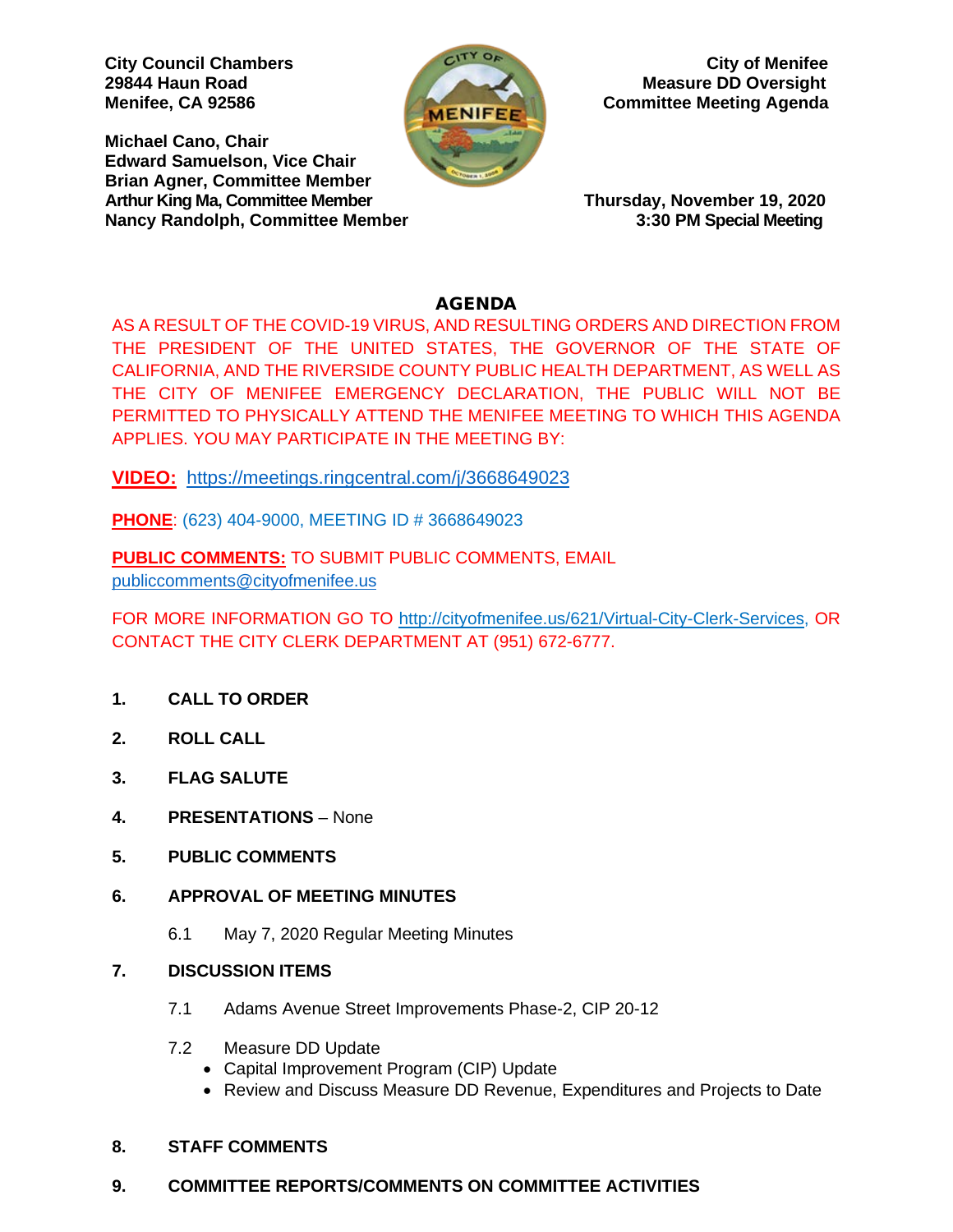**Michael Cano, Chair Edward Samuelson, Vice Chair Brian Agner, Committee Member Arthur King Ma, Committee Member Thursday, November 19, 2020 Nancy Randolph, Committee Member** 



**City Council Chambers** City of Menifee **29844 Haun Road Measure DD Oversight Menifee, CA 92586 Committee Meeting Agenda** 

### AGENDA

AS A RESULT OF THE COVID-19 VIRUS, AND RESULTING ORDERS AND DIRECTION FROM THE PRESIDENT OF THE UNITED STATES, THE GOVERNOR OF THE STATE OF CALIFORNIA, AND THE RIVERSIDE COUNTY PUBLIC HEALTH DEPARTMENT, AS WELL AS THE CITY OF MENIFEE EMERGENCY DECLARATION, THE PUBLIC WILL NOT BE PERMITTED TO PHYSICALLY ATTEND THE MENIFEE MEETING TO WHICH THIS AGENDA APPLIES. YOU MAY PARTICIPATE IN THE MEETING BY:

**VIDEO:** <https://meetings.ringcentral.com/j/3668649023>

**PHONE**: (623) 404-9000, MEETING ID # 3668649023

**PUBLIC COMMENTS:** TO SUBMIT PUBLIC COMMENTS, EMAIL [publiccomments@cityofmenifee.us](mailto:publiccomments@cityofmenifee.us)

FOR MORE INFORMATION GO TO [http://cityofmenifee.us/621/Virtual-City-Clerk-Services,](http://cityofmenifee.us/621/Virtual-City-Clerk-Services) OR CONTACT THE CITY CLERK DEPARTMENT AT (951) 672-6777.

- **1. CALL TO ORDER**
- **2. ROLL CALL**
- **3. FLAG SALUTE**
- **4. PRESENTATIONS**  None
- **5. PUBLIC COMMENTS**
- **6. APPROVAL OF MEETING MINUTES**
	- 6.1 May 7, 2020 Regular Meeting Minutes
- **7. DISCUSSION ITEMS**
	- 7.1 Adams Avenue Street Improvements Phase-2, CIP 20-12
	- 7.2 Measure DD Update
		- Capital Improvement Program (CIP) Update
		- Review and Discuss Measure DD Revenue, Expenditures and Projects to Date

### **8. STAFF COMMENTS**

### **9. COMMITTEE REPORTS/COMMENTS ON COMMITTEE ACTIVITIES**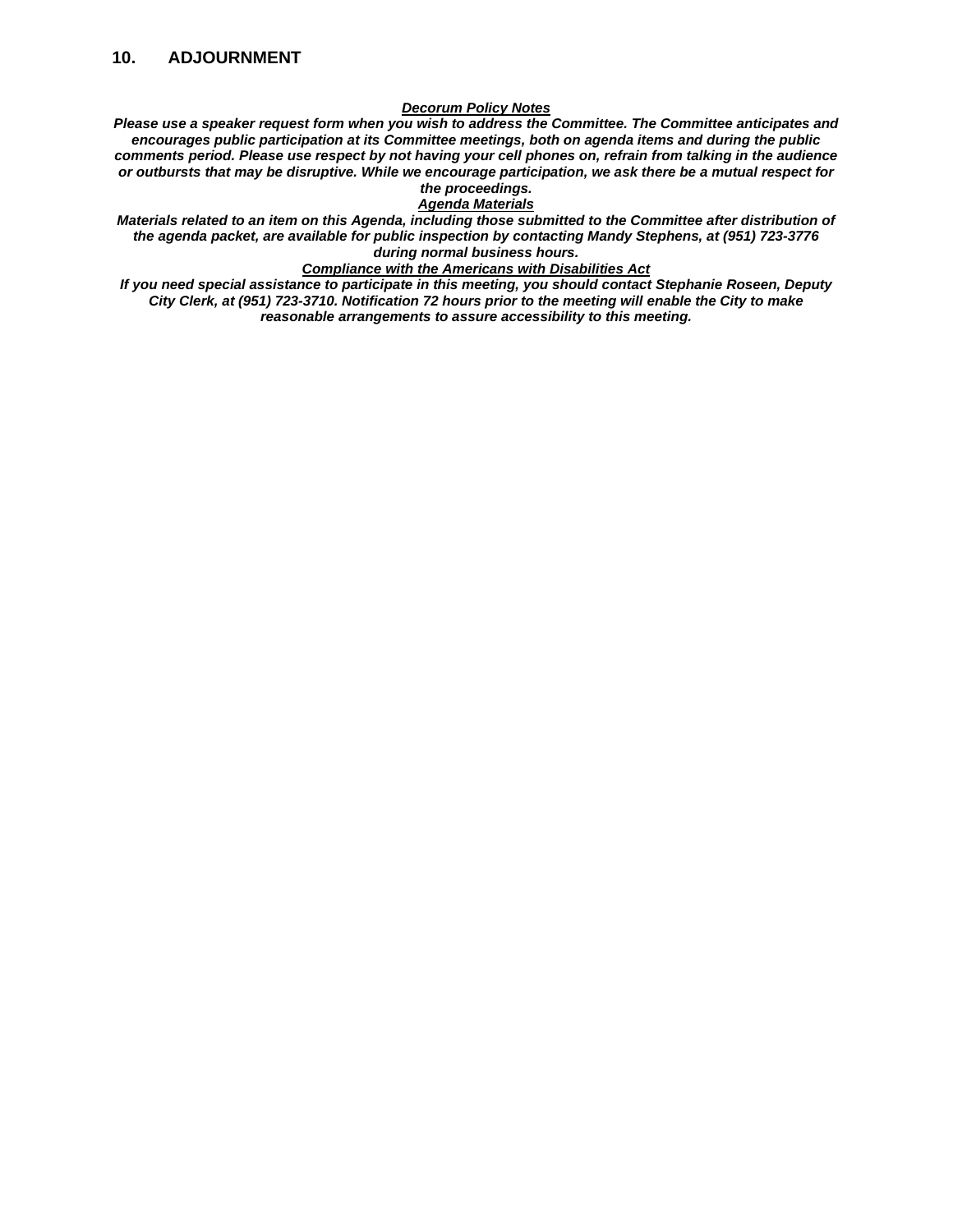#### *Decorum Policy Notes*

*Please use a speaker request form when you wish to address the Committee. The Committee anticipates and encourages public participation at its Committee meetings, both on agenda items and during the public comments period. Please use respect by not having your cell phones on, refrain from talking in the audience or outbursts that may be disruptive. While we encourage participation, we ask there be a mutual respect for the proceedings.*

#### *Agenda Materials*

*Materials related to an item on this Agenda, including those submitted to the Committee after distribution of the agenda packet, are available for public inspection by contacting Mandy Stephens, at (951) 723-3776 during normal business hours.* 

#### *Compliance with the Americans with Disabilities Act*

*If you need special assistance to participate in this meeting, you should contact Stephanie Roseen, Deputy City Clerk, at (951) 723-3710. Notification 72 hours prior to the meeting will enable the City to make reasonable arrangements to assure accessibility to this meeting.*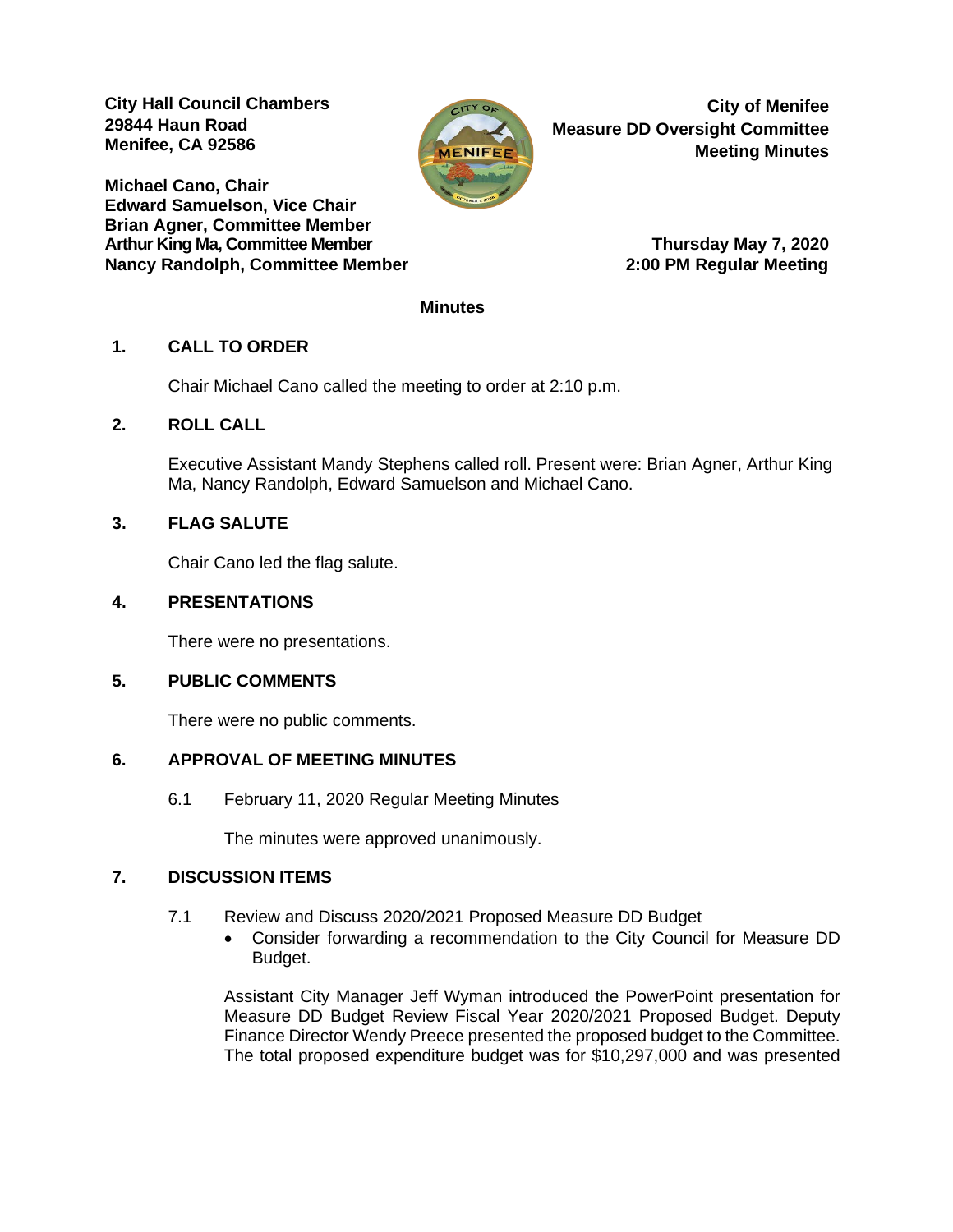**City Hall Council Chambers 29844 Haun Road Menifee, CA 92586** 

**Michael Cano, Chair Edward Samuelson, Vice Chair Brian Agner, Committee Member** Arthur King Ma, Committee Member **Thursday May 7, 2020 Nancy Randolph, Committee Member 2:00 PM Regular Meeting**



**City of Menifee Measure DD Oversight Committee Meeting Minutes**

#### **Minutes**

### **1. CALL TO ORDER**

Chair Michael Cano called the meeting to order at 2:10 p.m.

#### **2. ROLL CALL**

Executive Assistant Mandy Stephens called roll. Present were: Brian Agner, Arthur King Ma, Nancy Randolph, Edward Samuelson and Michael Cano.

### **3. FLAG SALUTE**

Chair Cano led the flag salute.

#### **4. PRESENTATIONS**

There were no presentations.

### **5. PUBLIC COMMENTS**

There were no public comments.

### **6. APPROVAL OF MEETING MINUTES**

6.1 February 11, 2020 Regular Meeting Minutes

The minutes were approved unanimously.

#### **7. DISCUSSION ITEMS**

- 7.1 Review and Discuss 2020/2021 Proposed Measure DD Budget
	- Consider forwarding a recommendation to the City Council for Measure DD Budget.

Assistant City Manager Jeff Wyman introduced the PowerPoint presentation for Measure DD Budget Review Fiscal Year 2020/2021 Proposed Budget. Deputy Finance Director Wendy Preece presented the proposed budget to the Committee. The total proposed expenditure budget was for \$10,297,000 and was presented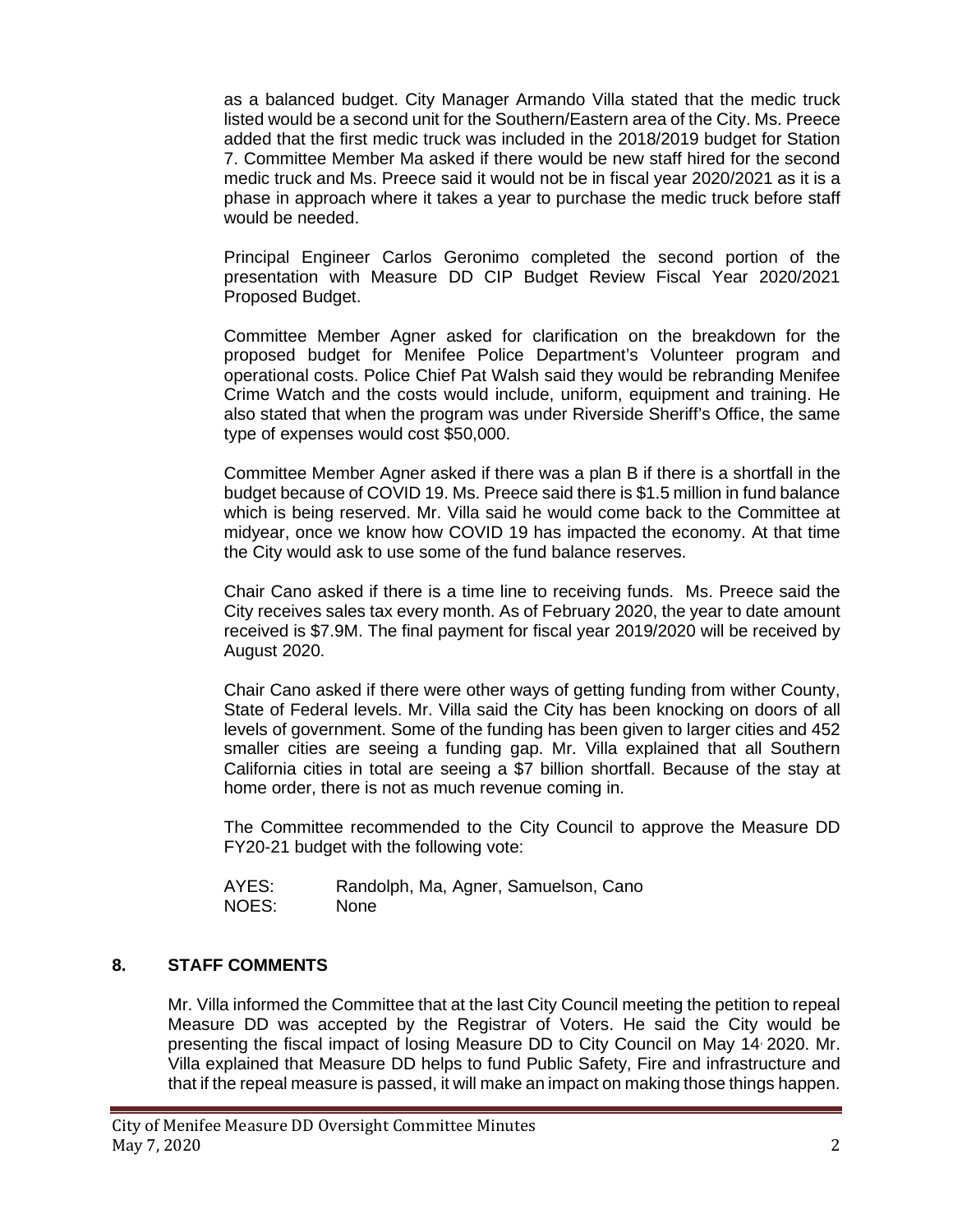as a balanced budget. City Manager Armando Villa stated that the medic truck listed would be a second unit for the Southern/Eastern area of the City. Ms. Preece added that the first medic truck was included in the 2018/2019 budget for Station 7. Committee Member Ma asked if there would be new staff hired for the second medic truck and Ms. Preece said it would not be in fiscal year 2020/2021 as it is a phase in approach where it takes a year to purchase the medic truck before staff would be needed.

Principal Engineer Carlos Geronimo completed the second portion of the presentation with Measure DD CIP Budget Review Fiscal Year 2020/2021 Proposed Budget.

Committee Member Agner asked for clarification on the breakdown for the proposed budget for Menifee Police Department's Volunteer program and operational costs. Police Chief Pat Walsh said they would be rebranding Menifee Crime Watch and the costs would include, uniform, equipment and training. He also stated that when the program was under Riverside Sheriff's Office, the same type of expenses would cost \$50,000.

Committee Member Agner asked if there was a plan B if there is a shortfall in the budget because of COVID 19. Ms. Preece said there is \$1.5 million in fund balance which is being reserved. Mr. Villa said he would come back to the Committee at midyear, once we know how COVID 19 has impacted the economy. At that time the City would ask to use some of the fund balance reserves.

Chair Cano asked if there is a time line to receiving funds. Ms. Preece said the City receives sales tax every month. As of February 2020, the year to date amount received is \$7.9M. The final payment for fiscal year 2019/2020 will be received by August 2020.

Chair Cano asked if there were other ways of getting funding from wither County, State of Federal levels. Mr. Villa said the City has been knocking on doors of all levels of government. Some of the funding has been given to larger cities and 452 smaller cities are seeing a funding gap. Mr. Villa explained that all Southern California cities in total are seeing a \$7 billion shortfall. Because of the stay at home order, there is not as much revenue coming in.

The Committee recommended to the City Council to approve the Measure DD FY20-21 budget with the following vote:

| AYES: | Randolph, Ma, Agner, Samuelson, Cano |
|-------|--------------------------------------|
| NOES: | None                                 |

### **8. STAFF COMMENTS**

Mr. Villa informed the Committee that at the last City Council meeting the petition to repeal Measure DD was accepted by the Registrar of Voters. He said the City would be presenting the fiscal impact of losing Measure DD to City Council on May 14, 2020. Mr. Villa explained that Measure DD helps to fund Public Safety, Fire and infrastructure and that if the repeal measure is passed, it will make an impact on making those things happen.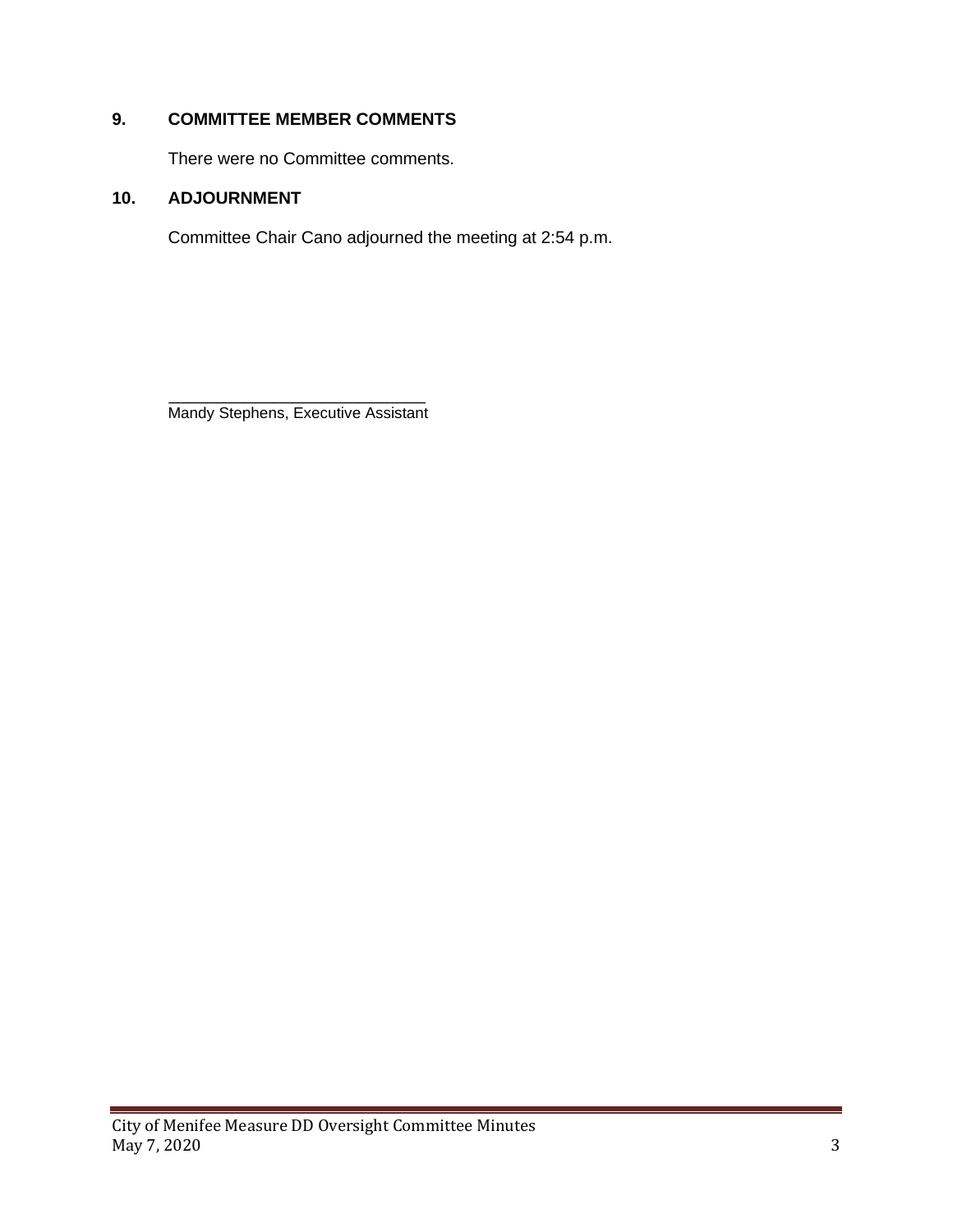## **9. COMMITTEE MEMBER COMMENTS**

There were no Committee comments.

### **10. ADJOURNMENT**

Committee Chair Cano adjourned the meeting at 2:54 p.m.

 $\frac{1}{\sqrt{2}}$  ,  $\frac{1}{\sqrt{2}}$  ,  $\frac{1}{\sqrt{2}}$  ,  $\frac{1}{\sqrt{2}}$  ,  $\frac{1}{\sqrt{2}}$  ,  $\frac{1}{\sqrt{2}}$  ,  $\frac{1}{\sqrt{2}}$  ,  $\frac{1}{\sqrt{2}}$  ,  $\frac{1}{\sqrt{2}}$  ,  $\frac{1}{\sqrt{2}}$  ,  $\frac{1}{\sqrt{2}}$  ,  $\frac{1}{\sqrt{2}}$  ,  $\frac{1}{\sqrt{2}}$  ,  $\frac{1}{\sqrt{2}}$  ,  $\frac{1}{\sqrt{2}}$ Mandy Stephens, Executive Assistant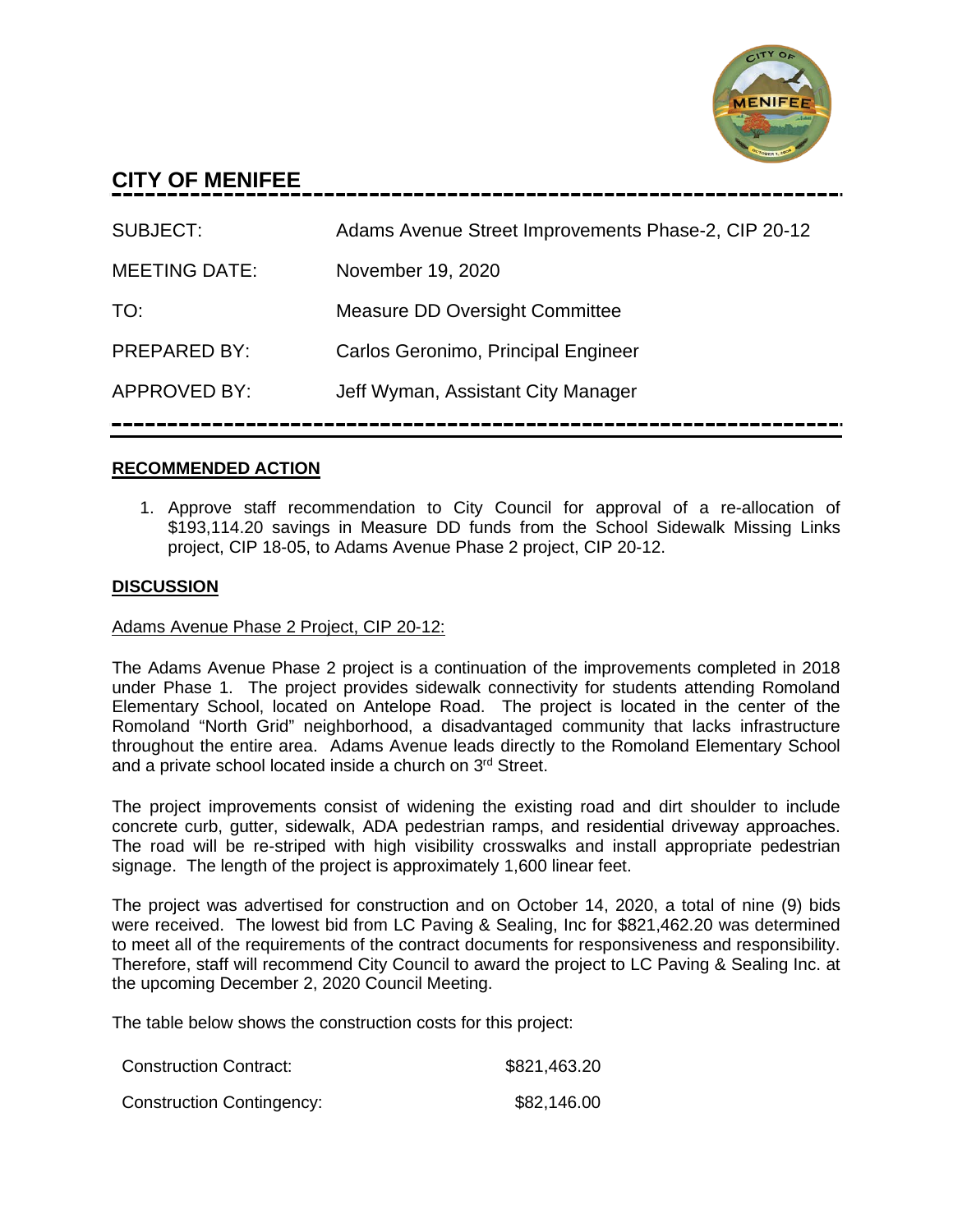

# **CITY OF MENIFEE**

| <b>SUBJECT:</b>      | Adams Avenue Street Improvements Phase-2, CIP 20-12 |
|----------------------|-----------------------------------------------------|
| <b>MEETING DATE:</b> | November 19, 2020                                   |
| TO:                  | Measure DD Oversight Committee                      |
| <b>PREPARED BY:</b>  | Carlos Geronimo, Principal Engineer                 |
| <b>APPROVED BY:</b>  | Jeff Wyman, Assistant City Manager                  |
|                      |                                                     |

### **RECOMMENDED ACTION**

1. Approve staff recommendation to City Council for approval of a re-allocation of \$193,114.20 savings in Measure DD funds from the School Sidewalk Missing Links project, CIP 18-05, to Adams Avenue Phase 2 project, CIP 20-12.

### **DISCUSSION**

### Adams Avenue Phase 2 Project, CIP 20-12:

The Adams Avenue Phase 2 project is a continuation of the improvements completed in 2018 under Phase 1. The project provides sidewalk connectivity for students attending Romoland Elementary School, located on Antelope Road. The project is located in the center of the Romoland "North Grid" neighborhood, a disadvantaged community that lacks infrastructure throughout the entire area. Adams Avenue leads directly to the Romoland Elementary School and a private school located inside a church on 3<sup>rd</sup> Street.

The project improvements consist of widening the existing road and dirt shoulder to include concrete curb, gutter, sidewalk, ADA pedestrian ramps, and residential driveway approaches. The road will be re-striped with high visibility crosswalks and install appropriate pedestrian signage. The length of the project is approximately 1,600 linear feet.

The project was advertised for construction and on October 14, 2020, a total of nine (9) bids were received. The lowest bid from LC Paving & Sealing, Inc for \$821,462.20 was determined to meet all of the requirements of the contract documents for responsiveness and responsibility. Therefore, staff will recommend City Council to award the project to LC Paving & Sealing Inc. at the upcoming December 2, 2020 Council Meeting.

The table below shows the construction costs for this project:

| <b>Construction Contract:</b>    | \$821,463.20 |
|----------------------------------|--------------|
| <b>Construction Contingency:</b> | \$82,146.00  |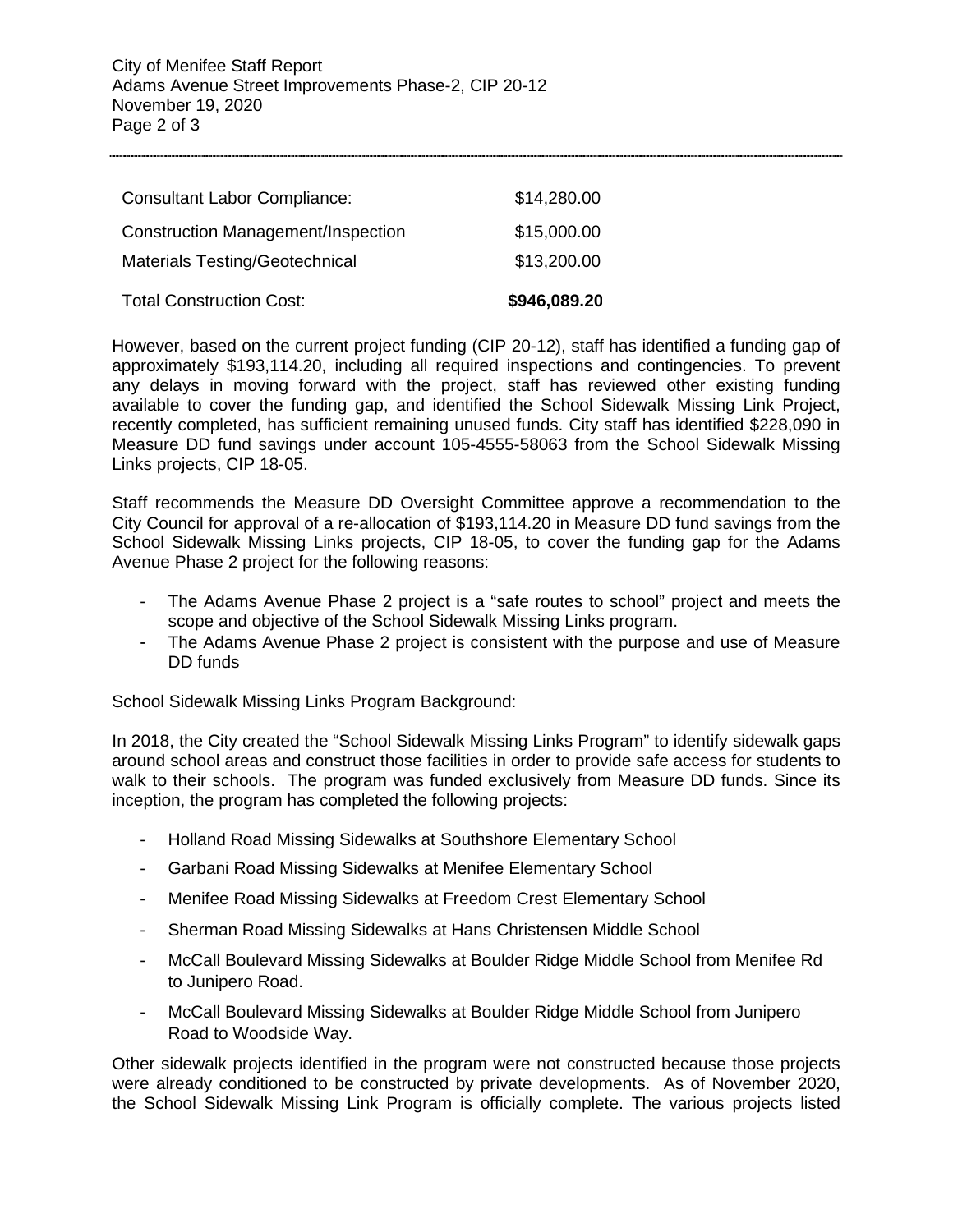| <b>Total Construction Cost:</b>       | \$946,089.20 |
|---------------------------------------|--------------|
| <b>Materials Testing/Geotechnical</b> | \$13,200.00  |
| Construction Management/Inspection    | \$15,000.00  |
| <b>Consultant Labor Compliance:</b>   | \$14,280.00  |
|                                       |              |

However, based on the current project funding (CIP 20-12), staff has identified a funding gap of approximately \$193,114.20, including all required inspections and contingencies. To prevent any delays in moving forward with the project, staff has reviewed other existing funding available to cover the funding gap, and identified the School Sidewalk Missing Link Project, recently completed, has sufficient remaining unused funds. City staff has identified \$228,090 in Measure DD fund savings under account 105-4555-58063 from the School Sidewalk Missing Links projects, CIP 18-05.

Staff recommends the Measure DD Oversight Committee approve a recommendation to the City Council for approval of a re-allocation of \$193,114.20 in Measure DD fund savings from the School Sidewalk Missing Links projects, CIP 18-05, to cover the funding gap for the Adams Avenue Phase 2 project for the following reasons:

- The Adams Avenue Phase 2 project is a "safe routes to school" project and meets the scope and objective of the School Sidewalk Missing Links program.
- The Adams Avenue Phase 2 project is consistent with the purpose and use of Measure DD funds

### School Sidewalk Missing Links Program Background:

In 2018, the City created the "School Sidewalk Missing Links Program" to identify sidewalk gaps around school areas and construct those facilities in order to provide safe access for students to walk to their schools. The program was funded exclusively from Measure DD funds. Since its inception, the program has completed the following projects:

- Holland Road Missing Sidewalks at Southshore Elementary School
- Garbani Road Missing Sidewalks at Menifee Elementary School
- Menifee Road Missing Sidewalks at Freedom Crest Elementary School
- Sherman Road Missing Sidewalks at Hans Christensen Middle School
- McCall Boulevard Missing Sidewalks at Boulder Ridge Middle School from Menifee Rd to Junipero Road.
- McCall Boulevard Missing Sidewalks at Boulder Ridge Middle School from Junipero Road to Woodside Way.

Other sidewalk projects identified in the program were not constructed because those projects were already conditioned to be constructed by private developments. As of November 2020, the School Sidewalk Missing Link Program is officially complete. The various projects listed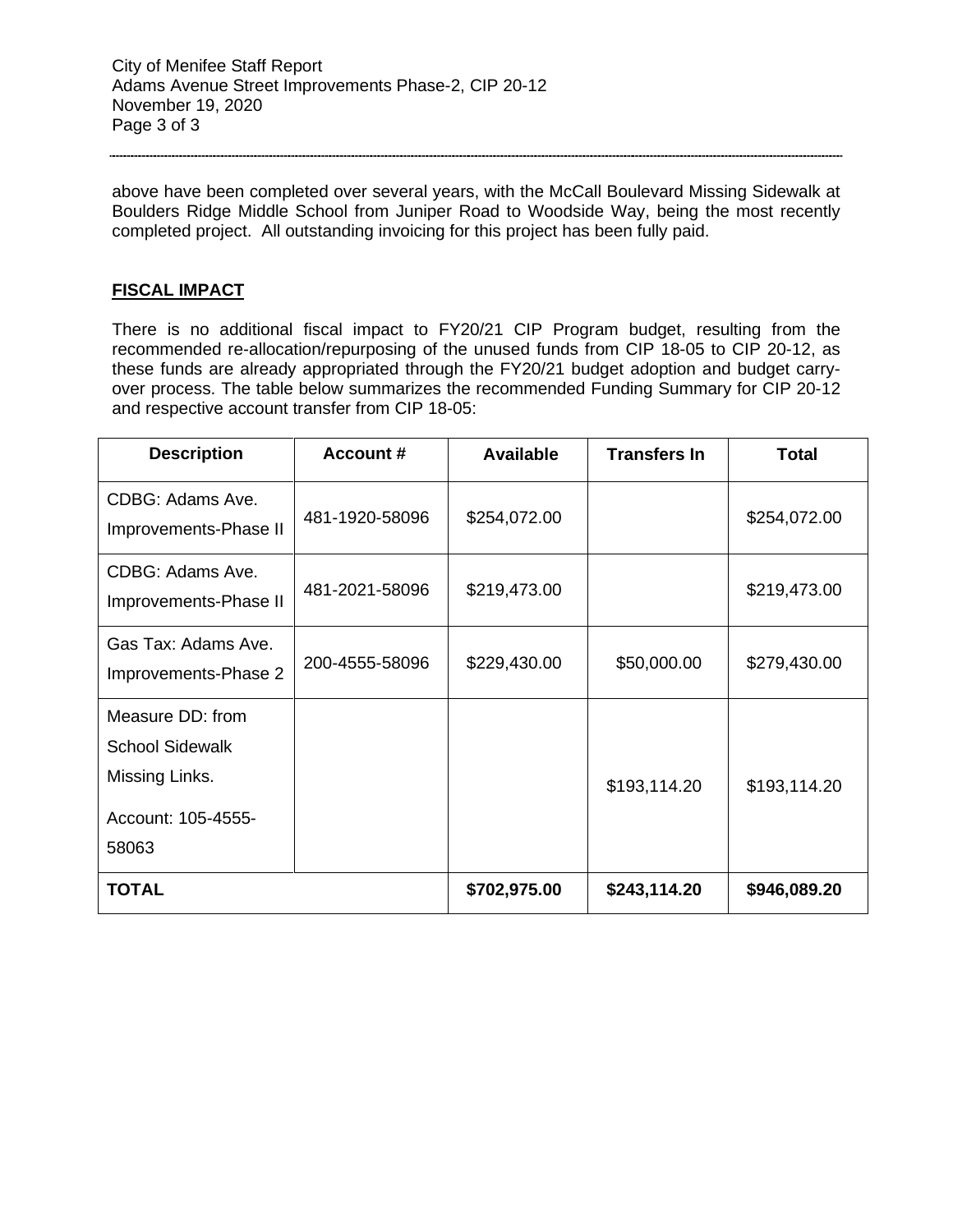above have been completed over several years, with the McCall Boulevard Missing Sidewalk at Boulders Ridge Middle School from Juniper Road to Woodside Way, being the most recently completed project. All outstanding invoicing for this project has been fully paid.

### **FISCAL IMPACT**

There is no additional fiscal impact to FY20/21 CIP Program budget, resulting from the recommended re-allocation/repurposing of the unused funds from CIP 18-05 to CIP 20-12, as these funds are already appropriated through the FY20/21 budget adoption and budget carryover process. The table below summarizes the recommended Funding Summary for CIP 20-12 and respective account transfer from CIP 18-05:

| <b>Description</b>                          | Account #      | <b>Available</b> | <b>Transfers In</b> | <b>Total</b> |
|---------------------------------------------|----------------|------------------|---------------------|--------------|
| CDBG: Adams Ave.<br>Improvements-Phase II   | 481-1920-58096 | \$254,072.00     |                     | \$254,072.00 |
| CDBG: Adams Ave.<br>Improvements-Phase II   | 481-2021-58096 | \$219,473.00     |                     | \$219,473.00 |
| Gas Tax: Adams Ave.<br>Improvements-Phase 2 | 200-4555-58096 | \$229,430.00     | \$50,000.00         | \$279,430.00 |
| Measure DD: from                            |                |                  |                     |              |
| <b>School Sidewalk</b>                      |                |                  |                     |              |
| Missing Links.                              |                |                  | \$193,114.20        | \$193,114.20 |
| Account: 105-4555-                          |                |                  |                     |              |
| 58063                                       |                |                  |                     |              |
| <b>TOTAL</b>                                |                | \$702,975.00     | \$243,114.20        | \$946,089.20 |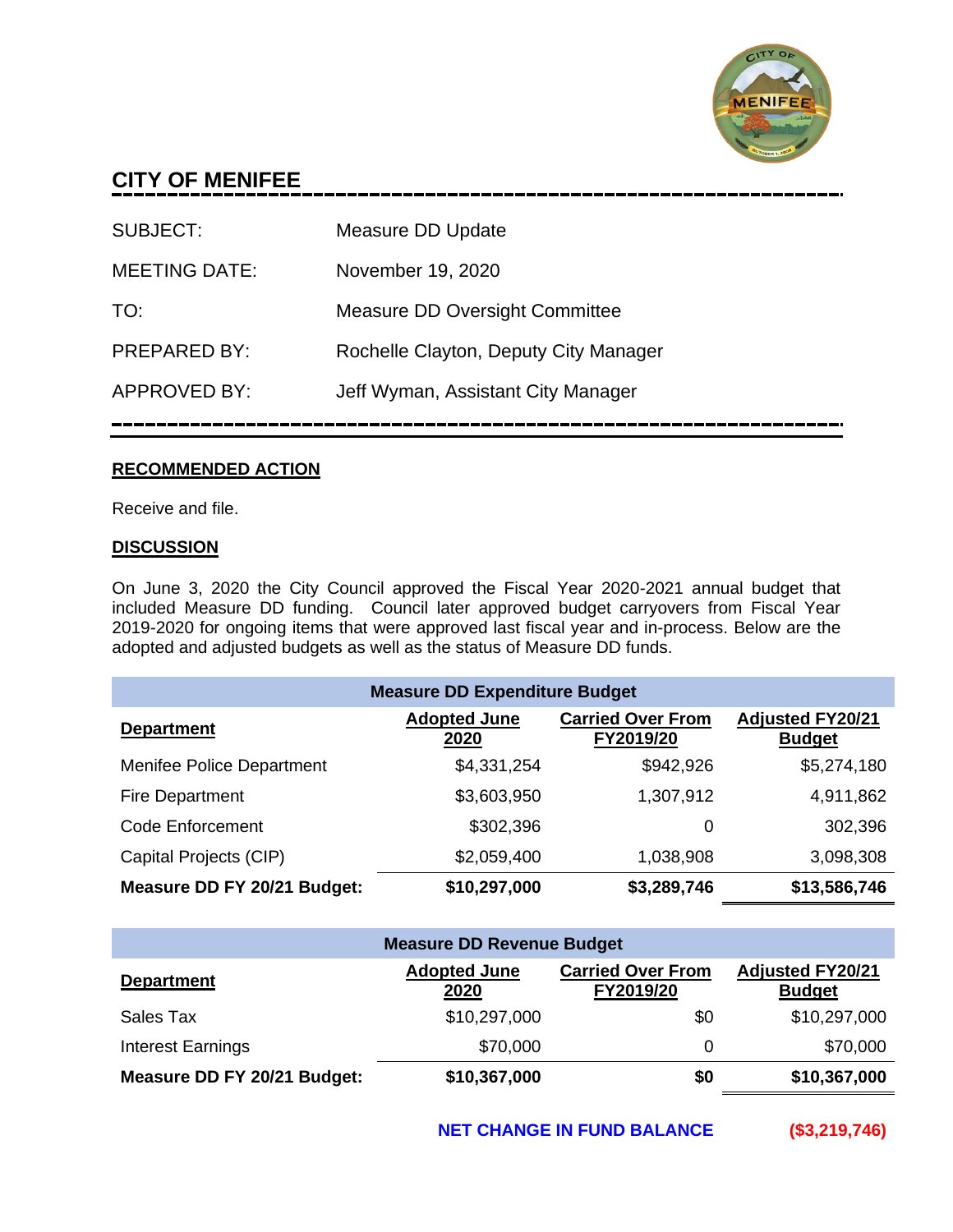

# **CITY OF MENIFEE**

| SUBJECT:             | Measure DD Update                     |
|----------------------|---------------------------------------|
| <b>MEETING DATE:</b> | November 19, 2020                     |
| TO:                  | <b>Measure DD Oversight Committee</b> |
| <b>PREPARED BY:</b>  | Rochelle Clayton, Deputy City Manager |
| <b>APPROVED BY:</b>  | Jeff Wyman, Assistant City Manager    |
|                      |                                       |

### **RECOMMENDED ACTION**

Receive and file.

### **DISCUSSION**

On June 3, 2020 the City Council approved the Fiscal Year 2020-2021 annual budget that included Measure DD funding. Council later approved budget carryovers from Fiscal Year 2019-2020 for ongoing items that were approved last fiscal year and in-process. Below are the adopted and adjusted budgets as well as the status of Measure DD funds.

| <b>Measure DD Expenditure Budget</b> |                             |                                       |                                          |
|--------------------------------------|-----------------------------|---------------------------------------|------------------------------------------|
| <b>Department</b>                    | <b>Adopted June</b><br>2020 | <b>Carried Over From</b><br>FY2019/20 | <b>Adjusted FY20/21</b><br><b>Budget</b> |
| Menifee Police Department            | \$4,331,254                 | \$942,926                             | \$5,274,180                              |
| <b>Fire Department</b>               | \$3,603,950                 | 1,307,912                             | 4,911,862                                |
| Code Enforcement                     | \$302,396                   | 0                                     | 302,396                                  |
| Capital Projects (CIP)               | \$2,059,400                 | 1,038,908                             | 3,098,308                                |
| Measure DD FY 20/21 Budget:          | \$10,297,000                | \$3,289,746                           | \$13,586,746                             |

| <b>Measure DD Revenue Budget</b> |                             |                                       |                                          |
|----------------------------------|-----------------------------|---------------------------------------|------------------------------------------|
| <b>Department</b>                | <b>Adopted June</b><br>2020 | <b>Carried Over From</b><br>FY2019/20 | <b>Adjusted FY20/21</b><br><b>Budget</b> |
| Sales Tax                        | \$10,297,000                | \$0                                   | \$10,297,000                             |
| Interest Earnings                | \$70,000                    | 0                                     | \$70,000                                 |
| Measure DD FY 20/21 Budget:      | \$10,367,000                | \$0                                   | \$10,367,000                             |

**NET CHANGE IN FUND BALANCE (\$3,219,746)**